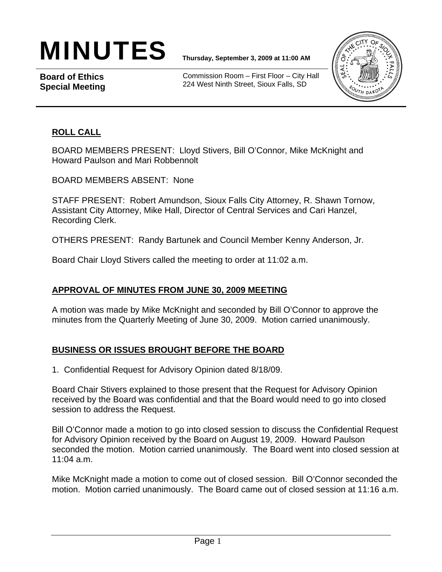# MINUTES **Thursday, September 3, 2009 at 11:00 AM**

**Board of Ethics Special Meeting** 

Commission Room – First Floor – City Hall 224 West Ninth Street, Sioux Falls, SD



## **ROLL CALL**

BOARD MEMBERS PRESENT: Lloyd Stivers, Bill O'Connor, Mike McKnight and Howard Paulson and Mari Robbennolt

BOARD MEMBERS ABSENT: None

STAFF PRESENT: Robert Amundson, Sioux Falls City Attorney, R. Shawn Tornow, Assistant City Attorney, Mike Hall, Director of Central Services and Cari Hanzel, Recording Clerk.

OTHERS PRESENT: Randy Bartunek and Council Member Kenny Anderson, Jr.

Board Chair Lloyd Stivers called the meeting to order at 11:02 a.m.

#### **APPROVAL OF MINUTES FROM JUNE 30, 2009 MEETING**

A motion was made by Mike McKnight and seconded by Bill O'Connor to approve the minutes from the Quarterly Meeting of June 30, 2009. Motion carried unanimously.

#### **BUSINESS OR ISSUES BROUGHT BEFORE THE BOARD**

1. Confidential Request for Advisory Opinion dated 8/18/09.

Board Chair Stivers explained to those present that the Request for Advisory Opinion received by the Board was confidential and that the Board would need to go into closed session to address the Request.

Bill O'Connor made a motion to go into closed session to discuss the Confidential Request for Advisory Opinion received by the Board on August 19, 2009. Howard Paulson seconded the motion. Motion carried unanimously. The Board went into closed session at 11:04 a.m.

Mike McKnight made a motion to come out of closed session. Bill O'Connor seconded the motion. Motion carried unanimously. The Board came out of closed session at 11:16 a.m.